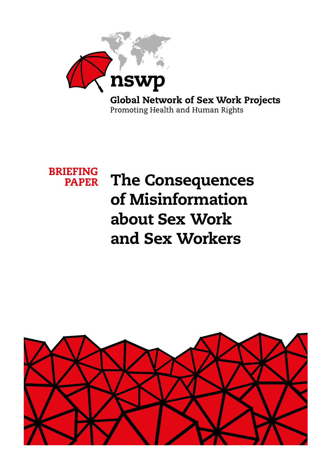

**Global Network of Sex Work Projects** Promoting Health and Human Rights

# The Consequences of Misinformation about Sex Work and Sex Workers BRIEFING PAPER

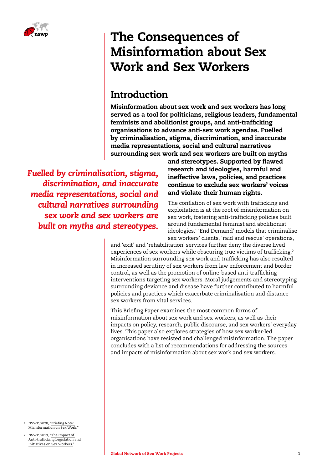

# The Consequences of Misinformation about Sex Work and Sex Workers

# Introduction

Misinformation about sex work and sex workers has long served as a tool for politicians, religious leaders, fundamental feminists and abolitionist groups, and anti-trafficking organisations to advance anti-sex work agendas. Fuelled by criminalisation, stigma, discrimination, and inaccurate media representations, social and cultural narratives surrounding sex work and sex workers are built on myths

*Fuelled by criminalisation, stigma, discrimination, and inaccurate media representations, social and cultural narratives surrounding sex work and sex workers are built on myths and stereotypes.*

and stereotypes. Supported by flawed research and ideologies, harmful and ineffective laws, policies, and practices continue to exclude sex workers' voices and violate their human rights.

The conflation of sex work with trafficking and exploitation is at the root of misinformation on sex work, fostering anti-trafficking policies built around fundamental feminist and abolitionist ideologies.1 'End Demand' models that criminalise sex workers' clients, 'raid and rescue' operations,

and 'exit' and 'rehabilitation' services further deny the diverse lived experiences of sex workers while obscuring true victims of trafficking.<sup>2</sup> Misinformation surrounding sex work and trafficking has also resulted in increased scrutiny of sex workers from law enforcement and border control, as well as the promotion of online-based anti-trafficking interventions targeting sex workers. Moral judgements and stereotyping surrounding deviance and disease have further contributed to harmful policies and practices which exacerbate criminalisation and distance sex workers from vital services.

This Briefing Paper examines the most common forms of misinformation about sex work and sex workers, as well as their impacts on policy, research, public discourse, and sex workers' everyday lives. This paper also explores strategies of how sex worker-led organisations have resisted and challenged misinformation. The paper concludes with a list of recommendations for addressing the sources and impacts of misinformation about sex work and sex workers.

- 1 NSWP, 2020, "[Briefing Note:](https://www.nswp.org/resource/nswp-briefing-notes/briefing-note-misinformation-sex-work)  [Misinformation on Sex Work.](https://www.nswp.org/resource/nswp-briefing-notes/briefing-note-misinformation-sex-work)"
- 2 NSWP, 2019, "[The Impact of](https://www.nswp.org/resource/nswp-policy-briefs/policy-brief-the-impact-anti-trafficking-legislation-and-initiatives-sex)  [Anti-trafficking Legislation and](https://www.nswp.org/resource/nswp-policy-briefs/policy-brief-the-impact-anti-trafficking-legislation-and-initiatives-sex)  [Initiatives on Sex Workers."](https://www.nswp.org/resource/nswp-policy-briefs/policy-brief-the-impact-anti-trafficking-legislation-and-initiatives-sex)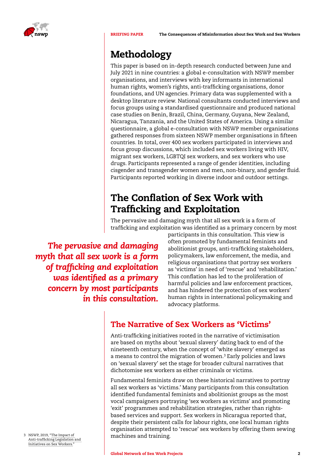

# Methodology

This paper is based on in-depth research conducted between June and July 2021 in nine countries: a global e-consultation with NSWP member organisations, and interviews with key informants in international human rights, women's rights, anti-trafficking organisations, donor foundations, and UN agencies. Primary data was supplemented with a desktop literature review. National consultants conducted interviews and focus groups using a standardised questionnaire and produced national case studies on Benin, Brazil, China, Germany, Guyana, New Zealand, Nicaragua, Tanzania, and the United States of America. Using a similar questionnaire, a global e-consultation with NSWP member organisations gathered responses from sixteen NSWP member organisations in fifteen countries. In total, over 400 sex workers participated in interviews and focus group discussions, which included sex workers living with HIV, migrant sex workers, LGBTQI sex workers, and sex workers who use drugs. Participants represented a range of gender identities, including cisgender and transgender women and men, non-binary, and gender fluid. Participants reported working in diverse indoor and outdoor settings.

# The Conflation of Sex Work with Trafficking and Exploitation

The pervasive and damaging myth that all sex work is a form of trafficking and exploitation was identified as a primary concern by most

*The pervasive and damaging myth that all sex work is a form of trafficking and exploitation was identified as a primary concern by most participants in this consultation.* participants in this consultation. This view is often promoted by fundamental feminists and abolitionist groups, anti-trafficking stakeholders, policymakers, law enforcement, the media, and religious organisations that portray sex workers as 'victims' in need of 'rescue' and 'rehabilitation.' This conflation has led to the proliferation of harmful policies and law enforcement practices, and has hindered the protection of sex workers' human rights in international policymaking and advocacy platforms.

#### The Narrative of Sex Workers as 'Victims'

Anti-trafficking initiatives rooted in the narrative of victimisation are based on myths about 'sexual slavery' dating back to end of the nineteenth century, when the concept of 'white slavery' emerged as a means to control the migration of women.<sup>3</sup> Early policies and laws on 'sexual slavery' set the stage for broader cultural narratives that dichotomise sex workers as either criminals or victims.

Fundamental feminists draw on these historical narratives to portray all sex workers as 'victims.' Many participants from this consultation identified fundamental feminists and abolitionist groups as the most vocal campaigners portraying 'sex workers as victims' and promoting 'exit' programmes and rehabilitation strategies, rather than rightsbased services and support. Sex workers in Nicaragua reported that, despite their persistent calls for labour rights, one local human rights organisation attempted to 'rescue' sex workers by offering them sewing 3 NSWP, 2019, "[The Impact of](https://www.nswp.org/resource/nswp-policy-briefs/policy-brief-the-impact-anti-trafficking-legislation-and-initiatives-sex) **machines and training.** 

[Anti-trafficking Legislation and](https://www.nswp.org/resource/nswp-policy-briefs/policy-brief-the-impact-anti-trafficking-legislation-and-initiatives-sex)  [Initiatives on Sex Workers."](https://www.nswp.org/resource/nswp-policy-briefs/policy-brief-the-impact-anti-trafficking-legislation-and-initiatives-sex)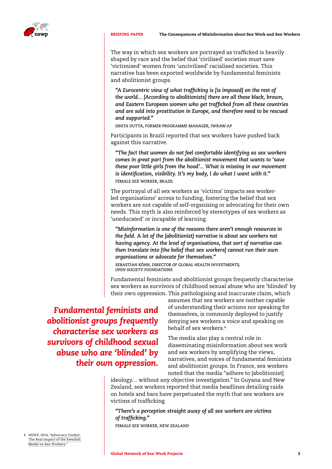

The way in which sex workers are portrayed as trafficked is heavily shaped by race and the belief that 'civilised' societies must save 'victimised' women from 'uncivilised' racialised societies. This narrative has been exported worldwide by fundamental feminists and abolitionist groups.

*"A Eurocentric view of what trafficking is [is imposed] on the rest of the world... [According to abolitionists] there are all these black, brown, and Eastern European women who get trafficked from all these countries and are sold into prostitution in Europe, and therefore need to be rescued and supported."* 

*ISHITA DUTTA, FORMER PROGRAMME MANAGER, IWRAW-AP*

Participants in Brazil reported that sex workers have pushed back against this narrative.

*"The fact that women do not feel comfortable identifying as sex workers comes in great part from the abolitionist movement that wants to 'save these poor little girls from the hood'... What is missing in our movement is identification, visibility. It's my body, I do what I want with it." FEMALE SEX WORKER, BRAZIL*

The portrayal of all sex workers as 'victims' impacts sex workerled organisations' access to funding, fostering the belief that sex workers are not capable of self-organising or advocating for their own needs. This myth is also reinforced by stereotypes of sex workers as 'uneducated' or incapable of learning.

*"Misinformation is one of the reasons there aren't enough resources in the field. A lot of the [abolitionist] narrative is about sex workers not having agency. At the level of organisations, that sort of narrative can then translate into [the belief that sex workers] cannot run their own organisations or advocate for themselves."* 

*SEBASTIAN KÖHN, DIRECTOR OF GLOBAL HEALTH INVESTMENTS, OPEN SOCIETY FOUNDATIONS* 

Fundamental feminists and abolitionist groups frequently characterise sex workers as survivors of childhood sexual abuse who are 'blinded' by their own oppression. This pathologising and inaccurate claim, which

*Fundamental feminists and abolitionist groups frequently characterise sex workers as survivors of childhood sexual abuse who are 'blinded' by their own oppression.*

assumes that sex workers are neither capable of understanding their actions nor speaking for themselves, is commonly deployed to justify denying sex workers a voice and speaking on behalf of sex workers.4

The media also play a central role in disseminating misinformation about sex work and sex workers by amplifying the views, narratives, and voices of fundamental feminists and abolitionist groups. In France, sex workers noted that the media "adhere to [abolitionist]

ideology… without any objective investigation." In Guyana and New Zealand, sex workers reported that media headlines detailing raids on hotels and bars have perpetuated the myth that sex workers are victims of trafficking.

*"There's a perception straight away of all sex workers are victims of trafficking."* 

*FEMALE SEX WORKER, NEW ZEALAND*

4 NSWP, 2014, ["Advocacy Toolkit:](https://www.nswp.org/resource/nswp-publications/advocacy-toolkit-the-real-impact-the-swedish-model-sex-workers)  [The Real Impact of the Swedish](https://www.nswp.org/resource/nswp-publications/advocacy-toolkit-the-real-impact-the-swedish-model-sex-workers)  [Model on Sex Workers."](https://www.nswp.org/resource/nswp-publications/advocacy-toolkit-the-real-impact-the-swedish-model-sex-workers)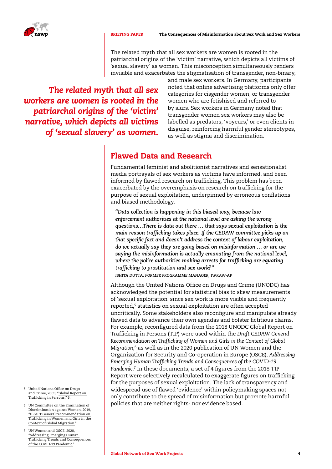

The related myth that all sex workers are women is rooted in the patriarchal origins of the 'victim' narrative, which depicts all victims of 'sexual slavery' as women. This misconception simultaneously renders invisible and exacerbates the stigmatisation of transgender, non-binary,

*The related myth that all sex workers are women is rooted in the patriarchal origins of the 'victim' narrative, which depicts all victims of 'sexual slavery' as women.*  and male sex workers. In Germany, participants noted that online advertising platforms only offer categories for cisgender women, or transgender women who are fetishised and referred to by slurs. Sex workers in Germany noted that transgender women sex workers may also be labelled as predators, 'voyeurs,' or even clients in disguise, reinforcing harmful gender stereotypes, as well as stigma and discrimination.

#### Flawed Data and Research

Fundamental feminist and abolitionist narratives and sensationalist media portrayals of sex workers as victims have informed, and been informed by flawed research on trafficking. This problem has been exacerbated by the overemphasis on research on trafficking for the purpose of sexual exploitation, underpinned by erroneous conflations and biased methodology.

*"Data collection is happening in this biased way, because law enforcement authorities at the national level are asking the wrong questions…There is data out there … that says sexual exploitation is the main reason trafficking takes place. If the CEDAW committee picks up on that specific fact and doesn't address the context of labour exploitation, do we actually say they are going based on misinformation … or are we saying the misinformation is actually emanating from the national level, where the police authorities making arrests for trafficking are equating trafficking to prostitution and sex work?"* 

*ISHITA DUTTA, FORMER PROGRAMME MANAGER, IWRAW-AP*

Although the United Nations Office on Drugs and Crime (UNODC) has acknowledged the potential for statistical bias to skew measurements of 'sexual exploitation' since sex work is more visible and frequently reported,<sup>5</sup> statistics on sexual exploitation are often accepted uncritically. Some stakeholders also reconfigure and manipulate already flawed data to advance their own agendas and bolster fictitious claims. For example, reconfigured data from the 2018 UNODC Global Report on Trafficking in Persons (TIP) were used within the *Draft CEDAW General Recommendation on Trafficking of Women and Girls in the Context of Global Migration*, 6 as well as in the 2020 publication of UN Women and the Organization for Security and Co-operation in Europe (OSCE), *Addressing Emerging Human Trafficking Trends and Consequences of the COVID-19 Pandemic*. 7 In these documents, a set of 4 figures from the 2018 TIP Report were selectively recalculated to exaggerate figures on trafficking for the purposes of sexual exploitation. The lack of transparency and widespread use of flawed 'evidence' within policymaking spaces not only contribute to the spread of misinformation but promote harmful policies that are neither rights- nor evidence based.

- 5 United Nations Office on Drugs and Crime, 2009, "Global Report on [Trafficking in Persons,](https://www.unodc.org/unodc/en/human-trafficking/global-report-on-trafficking-in-persons.html)" 6.
- 6 UN Committee on the Elimination of Discrimination against Women, 2019, "[DRAFT General recommendation on](https://www.ohchr.org/EN/HRBodies/CEDAW/Pages/GRTrafficking.aspx)  [Trafficking in Women and Girls in the](https://www.ohchr.org/EN/HRBodies/CEDAW/Pages/GRTrafficking.aspx)  [Context of Global Migration."](https://www.ohchr.org/EN/HRBodies/CEDAW/Pages/GRTrafficking.aspx)
- 7 UN Women and OSCE, 2020, ["Addressing Emerging Human](https://www.unwomen.org/en/digital-library/publications/2020/07/guidance-addressing-emerging-human-trafficking-trends-and-consequences-of-the-covid-19-pandemic)  [Trafficking Trends and Consequences](https://www.unwomen.org/en/digital-library/publications/2020/07/guidance-addressing-emerging-human-trafficking-trends-and-consequences-of-the-covid-19-pandemic)  [of the COVID-19 Pandemic.](https://www.unwomen.org/en/digital-library/publications/2020/07/guidance-addressing-emerging-human-trafficking-trends-and-consequences-of-the-covid-19-pandemic)"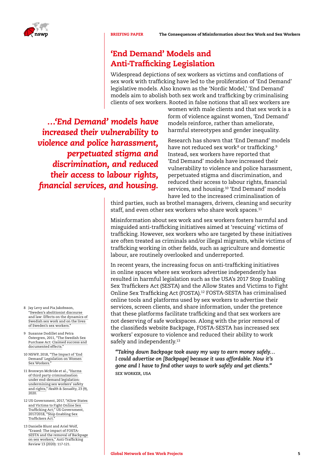

#### 'End Demand' Models and Anti-Trafficking Legislation

Widespread depictions of sex workers as victims and conflations of sex work with trafficking have led to the proliferation of 'End Demand' legislative models. Also known as the 'Nordic Model,' 'End Demand' models aim to abolish both sex work and trafficking by criminalising clients of sex workers. Rooted in false notions that all sex workers are

*…'End Demand' models have increased their vulnerability to violence and police harassment, perpetuated stigma and discrimination, and reduced their access to labour rights, financial services, and housing.*

women with male clients and that sex work is a form of violence against women, 'End Demand' models reinforce, rather than ameliorate, harmful stereotypes and gender inequality.

Research has shown that 'End Demand' models have not reduced sex work<sup>8</sup> or trafficking.<sup>9</sup> Instead, sex workers have reported that 'End Demand' models have increased their vulnerability to violence and police harassment, perpetuated stigma and discrimination, and reduced their access to labour rights, financial services, and housing.10 'End Demand' models have led to the increased criminalisation of

third parties, such as brothel managers, drivers, cleaning and security staff, and even other sex workers who share work spaces.<sup>11</sup>

Misinformation about sex work and sex workers fosters harmful and misguided anti-trafficking initiatives aimed at 'rescuing' victims of trafficking. However, sex workers who are targeted by these initiatives are often treated as criminals and/or illegal migrants, while victims of trafficking working in other fields, such as agriculture and domestic labour, are routinely overlooked and underreported.

In recent years, the increasing focus on anti-trafficking initiatives in online spaces where sex workers advertise independently has resulted in harmful legislation such as the USA's 2017 Stop Enabling Sex Traffickers Act (SESTA) and the Allow States and Victims to Fight Online Sex Trafficking Act (FOSTA).12 FOSTA-SESTA has criminalised online tools and platforms used by sex workers to advertise their services, screen clients, and share information, under the pretence that these platforms facilitate trafficking and that sex workers are not deserving of safe workspaces. Along with the prior removal of the classifieds website Backpage, FOSTA-SESTA has increased sex workers' exposure to violence and reduced their ability to work safely and independently.<sup>13</sup>

*"Taking down Backpage took away my way to earn money safely… I could advertise on [Backpage] because it was affordable. Now it's gone and I have to find other ways to work safely and get clients." SEX WORKER, USA*

- 8 Jay Levy and Pia Jakobsson, "[Sweden's abolitionist discourse](https://www.semanticscholar.org/paper/Sweden%E2%80%99s-abolitionist-discourse-and-law%3A-Effects-on-Levy-Jakobsson/bc2a6cb568a272f11dbc4cb1696c2ec4092e2ba3)  [and law: Effects on the dynamics of](https://www.semanticscholar.org/paper/Sweden%E2%80%99s-abolitionist-discourse-and-law%3A-Effects-on-Levy-Jakobsson/bc2a6cb568a272f11dbc4cb1696c2ec4092e2ba3)  [Swedish sex work and on the lives](https://www.semanticscholar.org/paper/Sweden%E2%80%99s-abolitionist-discourse-and-law%3A-Effects-on-Levy-Jakobsson/bc2a6cb568a272f11dbc4cb1696c2ec4092e2ba3)  [of Sweden's sex workers."](https://www.semanticscholar.org/paper/Sweden%E2%80%99s-abolitionist-discourse-and-law%3A-Effects-on-Levy-Jakobsson/bc2a6cb568a272f11dbc4cb1696c2ec4092e2ba3)
- 9 Susanne Dodillet and Petra Östergren, 2011, ["The Swedish Sex](http://www.petraostergren.com/upl/files/54259.pdf)  [Purchase Act: Claimed success and](http://www.petraostergren.com/upl/files/54259.pdf)  documented effects.
- 10 NSWP, 2018, "[The Impact of 'End](https://www.nswp.org/resource/nswp-policy-briefs/policy-brief-the-impact-end-demand-legislation-women-sex-workers)  [Demand' Legislation on Women](https://www.nswp.org/resource/nswp-policy-briefs/policy-brief-the-impact-end-demand-legislation-women-sex-workers)  Sex Workers.
- 11 Bronwyn McBride et al., "[Harms](https://www.researchgate.net/publication/343402527_Harms_of_third_party_criminalisation_under_end-demand_legislation_undermining_sex_workers)  [of third party criminalisation](https://www.researchgate.net/publication/343402527_Harms_of_third_party_criminalisation_under_end-demand_legislation_undermining_sex_workers)  [under end-demand legislation:](https://www.researchgate.net/publication/343402527_Harms_of_third_party_criminalisation_under_end-demand_legislation_undermining_sex_workers)  [undermining sex workers' safety](https://www.researchgate.net/publication/343402527_Harms_of_third_party_criminalisation_under_end-demand_legislation_undermining_sex_workers)  [and rights,"](https://www.researchgate.net/publication/343402527_Harms_of_third_party_criminalisation_under_end-demand_legislation_undermining_sex_workers) *Health & Sexuality*, 23 (9), 2020.
- 12 US Government, 2017, "Allow States [and Victims to Fight Online Sex](https://www.congress.gov/bill/115th-congress/house-bill/1865/text;)  [Trafficking Act;"](https://www.congress.gov/bill/115th-congress/house-bill/1865/text;) US Government, 2017/2018, "[Stop Enabling Sex](https://www.congress.gov/bill/115th-congress/senate-bill/1693)  [Traffickers Act.](https://www.congress.gov/bill/115th-congress/senate-bill/1693)"
- 13 Danielle Blunt and Ariel Wolf, "[Erased: The impact of FOSTA-](https://www.antitraffickingreview.org/index.php/atrjournal/issue/view/22)[SESTA and the removal of Backpage](https://www.antitraffickingreview.org/index.php/atrjournal/issue/view/22)  [on sex workers,](https://www.antitraffickingreview.org/index.php/atrjournal/issue/view/22)" Anti-Trafficking Review 13 (2020): 117-121.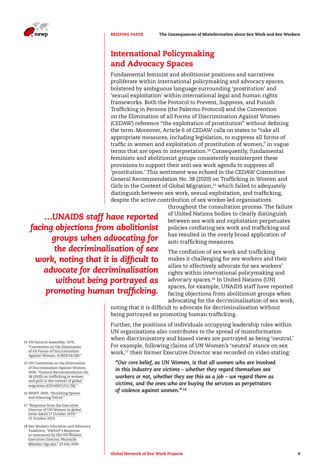

#### International Policymaking and Advocacy Spaces

Fundamental feminist and abolitionist positions and narratives proliferate within international policymaking and advocacy spaces, bolstered by ambiguous language surrounding 'prostitution' and 'sexual exploitation' within international legal and human rights frameworks. Both the Protocol to Prevent, Suppress, and Punish Trafficking in Persons (the Palermo Protocol) and the Convention on the Elimination of all Forms of Discrimination Against Women (CEDAW) reference "the exploitation of prostitution" without defining the term. Moreover, Article 6 of CEDAW calls on states to "take all appropriate measures, including legislation, to suppress all forms of traffic in women and exploitation of prostitution of women," in vague terms that are open to interpretation.<sup>14</sup> Consequently, fundamental feminists and abolitionist groups consistently misinterpret these provisions to support their anti-sex work agenda to suppress *all* 'prostitution.' This sentiment was echoed in the CEDAW Committee General Recommendation No. 38 (2020) on Trafficking in Women and Girls in the Context of Global Migration,<sup>15</sup> which failed to adequately distinguish between sex work, sexual exploitation, and trafficking, despite the active contribution of sex worker-led organisations

*…UNAIDS staff have reported facing objections from abolitionist groups when advocating for the decriminalisation of sex work, noting that it is difficult to advocate for decriminalisation without being portrayed as promoting human trafficking.*

throughout the consultation process. The failure of United Nations bodies to clearly distinguish between sex work and exploitation perpetuates policies conflating sex work and trafficking and has resulted in the overly broad application of anti-trafficking measures.

The conflation of sex work and trafficking makes it challenging for sex workers and their allies to effectively advocate for sex workers' rights within international policymaking and advocacy spaces.16 In United Nations (UN) spaces, for example, UNAIDS staff have reported facing objections from abolitionist groups when advocating for the decriminalisation of sex work,

noting that it is difficult to advocate for decriminalisation without being portrayed as promoting human trafficking.

Further, the positions of individuals occupying leadership roles within UN organisations also contributes to the spread of misinformation when discriminatory and biased views are portrayed as being 'neutral.' For example, following claims of UN Women's 'neutral' stance on sex work,<sup>17</sup> their former Executive Director was recorded on video stating:

*"Our core belief, as UN Women, is that all women who are involved in this industry are victims – whether they regard themselves sex workers or not, whether they see this as a job – we regard them as victims, and the ones who are buying the services as perpetrators of violence against women." <sup>18</sup>*

- 14 UN General Assembly, 1979, "[Convention on the Elimination](https://www.un.org/womenwatch/daw/cedaw/cedaw.htm)  [of All Forms of Discrimination](https://www.un.org/womenwatch/daw/cedaw/cedaw.htm)  Against [Women, A/RES/34/180."](https://www.un.org/womenwatch/daw/cedaw/cedaw.htm)
- 15 UN Committee on the Elimination of Discrimination Against Women, 2020, ["General Recommendation No.](https://www.ohchr.org/en/hrbodies/cedaw/pages/recommendations.aspx)  [38 \(2020\) on trafficking in women](https://www.ohchr.org/en/hrbodies/cedaw/pages/recommendations.aspx)  [and girls in the context of global](https://www.ohchr.org/en/hrbodies/cedaw/pages/recommendations.aspx)  [migration \(CEDAW/C/GC/38\).](https://www.ohchr.org/en/hrbodies/cedaw/pages/recommendations.aspx)
- 16 NSWP, 2020, "[Shrinking Spaces](https://www.nswp.org/resource/nswp-briefing-papers/briefing-paper-shrinking-spaces-and-silencing-voices)  and [Silencing Voices."](https://www.nswp.org/resource/nswp-briefing-papers/briefing-paper-shrinking-spaces-and-silencing-voices)
- 17 "[Response from the Executive](https://www.passblue.com/wp-content/uploads/2019/11/Global-Letter-from-UN-Women-Executive-Director-re-Beijing25-and-Generation-Equality-Forum.pdf)  [Director of UN Women to global](https://www.passblue.com/wp-content/uploads/2019/11/Global-Letter-from-UN-Women-Executive-Director-re-Beijing25-and-Generation-Equality-Forum.pdf)  [letter dated 17 October 2019,](https://www.passblue.com/wp-content/uploads/2019/11/Global-Letter-from-UN-Women-Executive-Director-re-Beijing25-and-Generation-Equality-Forum.pdf)" 25 October 2019.
- 18 Sex Workers Education and Advocacy Taskforce, ["SWEAT's Response](http://www.sweat.org.za/2020/07/23/sweats-response-to-utterances-by-the-un-women-executive-director-phumzile-mlambo-ngcuka/)  [to utterances by the UN Women](http://www.sweat.org.za/2020/07/23/sweats-response-to-utterances-by-the-un-women-executive-director-phumzile-mlambo-ngcuka/)  [Executive Director, Phumzile](http://www.sweat.org.za/2020/07/23/sweats-response-to-utterances-by-the-un-women-executive-director-phumzile-mlambo-ngcuka/)  [Mlambo-Ngcuka,](http://www.sweat.org.za/2020/07/23/sweats-response-to-utterances-by-the-un-women-executive-director-phumzile-mlambo-ngcuka/)" 23 July 2020.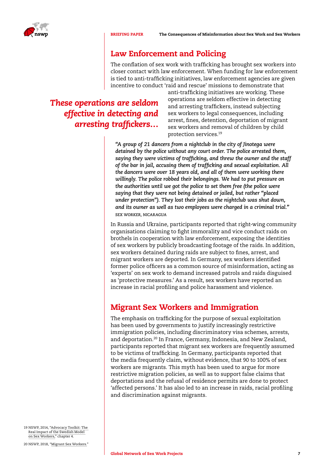

BRIEFING PAPER The Consequences of Misinformation about Sex Work and Sex Workers

#### Law Enforcement and Policing

The conflation of sex work with trafficking has brought sex workers into closer contact with law enforcement. When funding for law enforcement is tied to anti-trafficking initiatives, law enforcement agencies are given incentive to conduct 'raid and rescue' missions to demonstrate that

## *These operations are seldom effective in detecting and arresting traffickers…*

anti-trafficking initiatives are working. These operations are seldom effective in detecting and arresting traffickers, instead subjecting sex workers to legal consequences, including arrest, fines, detention, deportation of migrant sex workers and removal of children by child protection services.19

*"A group of 21 dancers from a nightclub in the city of Jinotega were detained by the police without any court order. The police arrested them, saying they were victims of trafficking, and threw the owner and the staff of the bar in jail, accusing them of trafficking and sexual exploitation. All the dancers were over 18 years old, and all of them were working there willingly. The police robbed their belongings. We had to put pressure on the authorities until we got the police to set them free (the police were saying that they were not being detained or jailed, but rather "placed under protection"). They lost their jobs as the nightclub was shut down, and its owner as well as two employees were charged in a criminal trial." SEX WORKER, NICARAGUA*

In Russia and Ukraine, participants reported that right-wing community organisations claiming to fight immorality and vice conduct raids on brothels in cooperation with law enforcement, exposing the identities of sex workers by publicly broadcasting footage of the raids. In addition, sex workers detained during raids are subject to fines, arrest, and migrant workers are deported. In Germany, sex workers identified former police officers as a common source of misinformation, acting as 'experts' on sex work to demand increased patrols and raids disguised as 'protective measures.' As a result, sex workers have reported an increase in racial profiling and police harassment and violence.

#### Migrant Sex Workers and Immigration

The emphasis on trafficking for the purpose of sexual exploitation has been used by governments to justify increasingly restrictive immigration policies, including discriminatory visa schemes, arrests, and deportation.20 In France, Germany, Indonesia, and New Zealand, participants reported that migrant sex workers are frequently assumed to be victims of trafficking. In Germany, participants reported that the media frequently claim, without evidence, that 90 to 100% of sex workers are migrants. This myth has been used to argue for more restrictive migration policies, as well as to support false claims that deportations and the refusal of residence permits are done to protect 'affected persons.' It has also led to an increase in raids, racial profiling and discrimination against migrants.

19 NSWP, 2014, ["Advocacy Toolkit: The](https://nswp.org/resource/nswp-publications/advocacy-toolkit-the-real-impact-the-swedish-model-sex-workers)  Real Impact of the Swedish Model [on Sex Workers,"](https://nswp.org/resource/nswp-publications/advocacy-toolkit-the-real-impact-the-swedish-model-sex-workers) chapter 4.

20 NSWP, 2018, "[Migrant Sex Workers."](https://www.nswp.org/resource/nswp-briefing-papers/briefing-paper-migrant-sex-workers)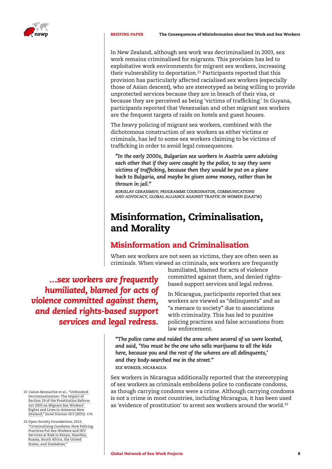

In New Zealand, although sex work was decriminalised in 2003, sex work remains criminalised for migrants. This provision has led to exploitative work environments for migrant sex workers, increasing their vulnerability to deportation.<sup>21</sup> Participants reported that this provision has particularly affected racialised sex workers (especially those of Asian descent), who are stereotyped as being willing to provide unprotected services because they are in breach of their visa, or because they are perceived as being 'victims of trafficking.' In Guyana, participants reported that Venezuelan and other migrant sex workers are the frequent targets of raids on hotels and guest houses.

The heavy policing of migrant sex workers, combined with the dichotomous construction of sex workers as either victims or criminals, has led to some sex workers claiming to be victims of trafficking in order to avoid legal consequences.

*"In the early 2000s, Bulgarian sex workers in Austria were advising each other that if they were caught by the police, to say they were victims of trafficking, because then they would be put on a plane back to Bulgaria, and maybe be given some money, rather than be thrown in jail."* 

*BORISLAV GERASIMOV, PROGRAMME COORDINATOR, COMMUNICATIONS AND ADVOCACY, GLOBAL ALLIANCE AGAINST TRAFFIC IN WOMEN (GAATW)* 

# Misinformation, Criminalisation, and Morality

#### Misinformation and Criminalisation

When sex workers are not seen as victims, they are often seen as criminals. When viewed as criminals, sex workers are frequently

*…sex workers are frequently humiliated, blamed for acts of violence committed against them, and denied rights-based support services and legal redress.*

humiliated, blamed for acts of violence committed against them, and denied rightsbased support services and legal redress.

In Nicaragua, participants reported that sex workers are viewed as "delinquents" and as "a menace to society" due to associations with criminality. This has led to punitive policing practices and false accusations from law enforcement.

*"The police came and raided the area where several of us were located, and said, 'You must be the one who sells marijuana to all the kids here, because you and the rest of the whores are all delinquents,' and they body-searched me in the street."* 

*SEX WORKER, NICARAGUA*

Sex workers in Nicaragua additionally reported that the stereotyping of sex workers as criminals emboldens police to confiscate condoms, as though carrying condoms were a crime. Although carrying condoms is not a crime in most countries, including Nicaragua, it has been used as 'evidence of prostitution' to arrest sex workers around the world.<sup>22</sup>

- 21 Calum Bennachie et al., "Unfinished. [Decriminalization: The Impact of](https://www.mdpi.com/2076-0760/10/5/179)  [Section 19 of the Prostitution Reform](https://www.mdpi.com/2076-0760/10/5/179)  [Act 2003 on Migrant Sex Workers'](https://www.mdpi.com/2076-0760/10/5/179)  [Rights and Lives in Aotearoa New](https://www.mdpi.com/2076-0760/10/5/179)  [Zealand,"](https://www.mdpi.com/2076-0760/10/5/179) *Social Sciences* 10:5 (2021): 179.
- 22 Open Society Foundations, 2012, "[Criminalizing Condoms: How Policing](https://www.opensocietyfoundations.org/publications/criminalizing-condoms)  [Practices Put Sex Workers and HIV](https://www.opensocietyfoundations.org/publications/criminalizing-condoms)  [Services at Risk in Kenya, Namibia,](https://www.opensocietyfoundations.org/publications/criminalizing-condoms)  [Russia, South Africa, the United](https://www.opensocietyfoundations.org/publications/criminalizing-condoms)  [States, and Zimbabwe.](https://www.opensocietyfoundations.org/publications/criminalizing-condoms)

Global Network of Sex Work Projects 8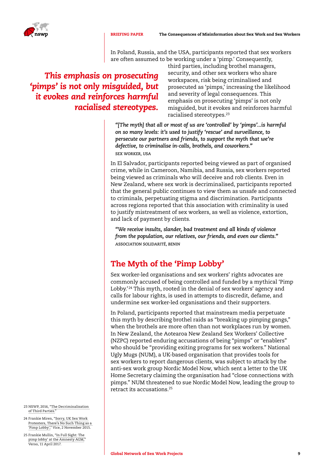

In Poland, Russia, and the USA, participants reported that sex workers are often assumed to be working under a 'pimp.' Consequently,

### *This emphasis on prosecuting 'pimps' is not only misguided, but it evokes and reinforces harmful racialised stereotypes.*

third parties, including brothel managers, security, and other sex workers who share workspaces, risk being criminalised and prosecuted as 'pimps,' increasing the likelihood and severity of legal consequences. This emphasis on prosecuting 'pimps' is not only misguided, but it evokes and reinforces harmful racialised stereotypes.23

*"[The myth] that all or most of us are 'controlled' by 'pimps'...is harmful on so many levels: it's used to justify 'rescue' and surveillance, to persecute our partners and friends, to support the myth that we're defective, to criminalise in-calls, brothels, and coworkers." SEX WORKER, USA*

In El Salvador, participants reported being viewed as part of organised crime, while in Cameroon, Namibia, and Russia, sex workers reported being viewed as criminals who will deceive and rob clients. Even in New Zealand, where sex work is decriminalised, participants reported that the general public continues to view them as unsafe and connected to criminals, perpetuating stigma and discrimination. Participants across regions reported that this association with criminality is used to justify mistreatment of sex workers, as well as violence, extortion, and lack of payment by clients.

*"We receive insults, slander, bad treatment and all kinds of violence from the population, our relatives, our friends, and even our clients." ASSOCIATION SOLIDARITÉ, BENIN*

#### The Myth of the 'Pimp Lobby'

Sex worker-led organisations and sex workers' rights advocates are commonly accused of being controlled and funded by a mythical 'Pimp Lobby.'<sup>24</sup> This myth, rooted in the denial of sex workers' agency and calls for labour rights, is used in attempts to discredit, defame, and undermine sex worker-led organisations and their supporters.

In Poland, participants reported that mainstream media perpetuate this myth by describing brothel raids as "breaking up pimping gangs," when the brothels are more often than not workplaces run by women. In New Zealand, the Aotearoa New Zealand Sex Workers' Collective (NZPC) reported enduring accusations of being "pimps" or "enablers" who should be "providing exiting programs for sex workers." National Ugly Mugs (NUM), a UK-based organisation that provides tools for sex workers to report dangerous clients, was subject to attack by the anti-sex work group Nordic Model Now, which sent a letter to the UK Home Secretary claiming the organisation had "close connections with pimps." NUM threatened to sue Nordic Model Now, leading the group to retract its accusations.25

- 23 NSWP, 2016, "[The Decriminalisation](https://nswp.org/resource/nswp-policy-briefs/policy-brief-the-decriminalisation-third-parties)  of [Third Parties."](https://nswp.org/resource/nswp-policy-briefs/policy-brief-the-decriminalisation-third-parties)
- 24 Frankie Miren, ["Sorry, UK Sex Work](https://www.vice.com/en/article/nnqx48/the-pimp-lobby-292)  [Protesters, There's No Such Thing as a](https://www.vice.com/en/article/nnqx48/the-pimp-lobby-292)  ['Pimp Lobby',](https://www.vice.com/en/article/nnqx48/the-pimp-lobby-292)" Vice, 2 November 2015.
- 25 Frankie Mullin, ["In Full Sight: The](https://www.versobooks.com/blogs/3162-in-full-sight-the-pimp-lobby-at-the-amnesty-agm)  [pimp lobby' at the Amnesty AGM,](https://www.versobooks.com/blogs/3162-in-full-sight-the-pimp-lobby-at-the-amnesty-agm)" Verso, 11 April 2017.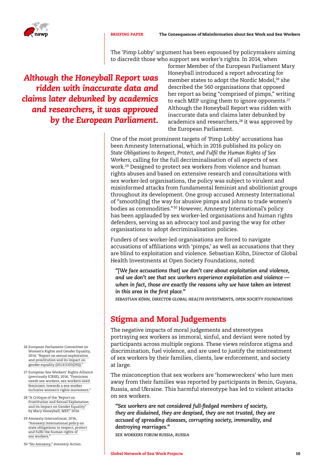

The 'Pimp Lobby' argument has been espoused by policymakers aiming to discredit those who support sex worker's rights. In 2014, when

### *Although the Honeyball Report was ridden with inaccurate data and claims later debunked by academics and researchers, it was approved by the European Parliament.*

former Member of the European Parliament Mary Honeyball introduced a report advocating for member states to adopt the Nordic Model,<sup>26</sup> she described the 560 organisations that opposed her report as being "comprised of pimps," writing to each MEP urging them to ignore opponents.<sup>27</sup> Although the Honeyball Report was ridden with inaccurate data and claims later debunked by academics and researchers,<sup>28</sup> it was approved by the European Parliament.

One of the most prominent targets of 'Pimp Lobby' accusations has been Amnesty International, which in 2016 published its policy on *State Obligations to Respect, Protect, and Fulfil the Human Rights of Sex Workers*, calling for the full decriminalisation of all aspects of sex work.29 Designed to protect sex workers from violence and human rights abuses and based on extensive research and consultations with sex worker-led organisations, the policy was subject to virulent and misinformed attacks from fundamental feminist and abolitionist groups throughout its development. One group accused Amnesty International of "smooth[ing] the way for abusive pimps and johns to trade women's bodies as commodities."30 However, Amnesty International's policy has been applauded by sex worker-led organisations and human rights defenders, serving as an advocacy tool and paving the way for other organisations to adopt decriminalisation policies.

Funders of sex worker-led organisations are forced to navigate accusations of affiliations with 'pimps,' as well as accusations that they are blind to exploitation and violence. Sebastian Köhn, Director of Global Health Investments at Open Society Foundations, noted:

*"[We face accusations that] we don't care about exploitation and violence, and we don't see that sex workers experience exploitation and violence when in fact, those are exactly the reasons why we have taken an interest in this area in the first place."* 

*SEBASTIAN KÖHN, DIRECTOR GLOBAL HEALTH INVESTMENTS, OPEN SOCIETY FOUNDATIONS* 

#### Stigma and Moral Judgements

The negative impacts of moral judgements and stereotypes portraying sex workers as immoral, sinful, and deviant were noted by participants across multiple regions. These views reinforce stigma and discrimination, fuel violence, and are used to justify the mistreatment of sex workers by their families, clients, law enforcement, and society at large.

The misconception that sex workers are 'homewreckers' who lure men away from their families was reported by participants in Benin, Guyana, Russia, and Ukraine. This harmful stereotype has led to violent attacks on sex workers.

*"Sex workers are not considered full-fledged members of society, they are disdained, they are despised, they are not trusted, they are accused of spreading diseases, corrupting society, immorality, and destroying marriages."* 

*SEX WORKERS FORUM RUSSIA, RUSSIA*

- 26 European Parliament Committee on Women's Rights and Gender Equality, 2014, ["Report on sexual exploitation](https://www.europarl.europa.eu/doceo/document/A-7-2014-0071_EN.html)  [and prostitution and its impact on](https://www.europarl.europa.eu/doceo/document/A-7-2014-0071_EN.html)  gender equality (2013/2103(INI)).
- 27 European Sex Workers' Rights Alliance (previously ICRSE), 2016, "[Feminism](https://www.eswalliance.org/feminism_needs_sex_workers_sex_workers_need_feminism_for_a_sex_worker_inclusive_women_s_rights_movement)  [needs sex workers, sex workers need](https://www.eswalliance.org/feminism_needs_sex_workers_sex_workers_need_feminism_for_a_sex_worker_inclusive_women_s_rights_movement)  [feminism: towards a sex-worker](https://www.eswalliance.org/feminism_needs_sex_workers_sex_workers_need_feminism_for_a_sex_worker_inclusive_women_s_rights_movement)  [inclusive women's rights movement.](https://www.eswalliance.org/feminism_needs_sex_workers_sex_workers_need_feminism_for_a_sex_worker_inclusive_women_s_rights_movement)"
- 28 ["A Critique of the 'Report on](https://www.academia.edu/6603562/A_Critique_of_the_Report_on_Prostitution_and_Sexual_Exploitation_and_its_Impact_on_Gender_Equality_by_Mary_Honeyball_MEP)  [Prostitution and Sexual Exploitation](https://www.academia.edu/6603562/A_Critique_of_the_Report_on_Prostitution_and_Sexual_Exploitation_and_its_Impact_on_Gender_Equality_by_Mary_Honeyball_MEP)  [and its Impact on Gender Equality](https://www.academia.edu/6603562/A_Critique_of_the_Report_on_Prostitution_and_Sexual_Exploitation_and_its_Impact_on_Gender_Equality_by_Mary_Honeyball_MEP) by Mary Honeyball, MEP," 2014.
- 29 Amnesty International, 2016, ["Amnesty International policy on](https://www.amnesty.org/en/documents/pol30/4062/2016/en/)  [state obligations to respect, protect](https://www.amnesty.org/en/documents/pol30/4062/2016/en/)  and fulfil the human rights of sex [workers.](https://www.amnesty.org/en/documents/pol30/4062/2016/en/)"
- 30 "[No Amnesty,](https://amnestyaction.wordpress.com/)" Amnesty Action.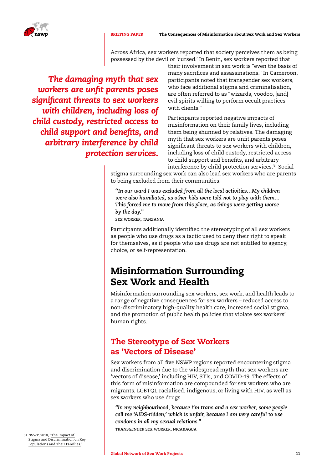

BRIEFING PAPER The Consequences of Misinformation about Sex Work and Sex Workers



Across Africa, sex workers reported that society perceives them as being possessed by the devil or 'cursed.' In Benin, sex workers reported that

*The damaging myth that sex workers are unfit parents poses significant threats to sex workers with children, including loss of child custody, restricted access to child support and benefits, and arbitrary interference by child protection services.*

their involvement in sex work is "even the basis of many sacrifices and assassinations." In Cameroon, participants noted that transgender sex workers, who face additional stigma and criminalisation, are often referred to as "wizards, voodoo, [and] evil spirits willing to perform occult practices with clients."

Participants reported negative impacts of misinformation on their family lives, including them being shunned by relatives. The damaging myth that sex workers are unfit parents poses significant threats to sex workers with children, including loss of child custody, restricted access to child support and benefits, and arbitrary interference by child protection services.<sup>31</sup> Social

stigma surrounding sex work can also lead sex workers who are parents to being excluded from their communities.

*''In our ward I was excluded from all the local activities…My children were also humiliated, as other kids were told not to play with them… This forced me to move from this place, as things were getting worse by the day."* 

*SEX WORKER, TANZANIA*

Participants additionally identified the stereotyping of all sex workers as people who use drugs as a tactic used to deny their right to speak for themselves, as if people who use drugs are not entitled to agency, choice, or self-representation.

# Misinformation Surrounding Sex Work and Health

Misinformation surrounding sex workers, sex work, and health leads to a range of negative consequences for sex workers – reduced access to non-discriminatory high-quality health care, increased social stigma, and the promotion of public health policies that violate sex workers' human rights.

#### The Stereotype of Sex Workers as 'Vectors of Disease'

Sex workers from all five NSWP regions reported encountering stigma and discrimination due to the widespread myth that sex workers are 'vectors of disease,' including HIV, STIs, and COVID-19. The effects of this form of misinformation are compounded for sex workers who are migrants, LGBTQI, racialised, indigenous, or living with HIV, as well as sex workers who use drugs.

*"In my neighbourhood, because I'm trans and a sex worker, some people call me 'AIDS-ridden,' which is unfair, because I am very careful to use condoms in all my sexual relations."* 

*TRANSGENDER SEX WORKER, NICARAGUA*

31 NSWP, 2018, "[The Impact of](https://nswp.org/resource/nswp-policy-briefs/policy-brief-the-impact-stigma-and-discrimination-key-populations-and)  [Stigma and Discrimination on Key](https://nswp.org/resource/nswp-policy-briefs/policy-brief-the-impact-stigma-and-discrimination-key-populations-and)  Populations and Their Families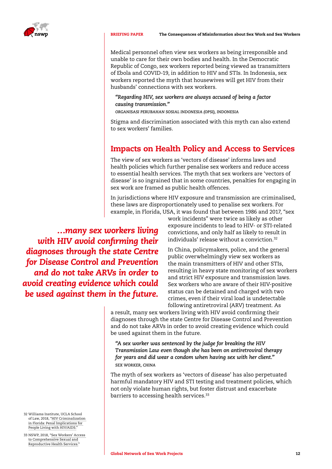

Medical personnel often view sex workers as being irresponsible and unable to care for their own bodies and health. In the Democratic Republic of Congo, sex workers reported being viewed as transmitters of Ebola and COVID-19, in addition to HIV and STIs. In Indonesia, sex workers reported the myth that housewives will get HIV from their husbands' connections with sex workers.

*"Regarding HIV, sex workers are always accused of being a factor causing transmission."* 

*ORGANISASI PERUBAHAN SOSIAL INDONESIA (OPSI), INDONESIA*

Stigma and discrimination associated with this myth can also extend to sex workers' families.

#### Impacts on Health Policy and Access to Services

The view of sex workers as 'vectors of disease' informs laws and health policies which further penalise sex workers and reduce access to essential health services. The myth that sex workers are 'vectors of disease' is so ingrained that in some countries, penalties for engaging in sex work are framed as public health offences.

In jurisdictions where HIV exposure and transmission are criminalised, these laws are disproportionately used to penalise sex workers. For example, in Florida, USA, it was found that between 1986 and 2017, "sex

*…many sex workers living with HIV avoid confirming their diagnoses through the state Centre for Disease Control and Prevention and do not take ARVs in order to avoid creating evidence which could be used against them in the future.*

work incidents" were twice as likely as other exposure incidents to lead to HIV- or STI-related convictions, and only half as likely to result in individuals' release without a conviction.32

In China, policymakers, police, and the general public overwhelmingly view sex workers as the main transmitters of HIV and other STIs, resulting in heavy state monitoring of sex workers and strict HIV exposure and transmission laws. Sex workers who are aware of their HIV-positive status can be detained and charged with two crimes, even if their viral load is undetectable following antiretroviral (ARV) treatment. As

a result, many sex workers living with HIV avoid confirming their diagnoses through the state Centre for Disease Control and Prevention and do not take ARVs in order to avoid creating evidence which could be used against them in the future.

*"A sex worker was sentenced by the judge for breaking the HIV Transmission Law even though she has been on antiretroviral therapy for years and did wear a condom when having sex with her client." SEX WORKER, CHINA*

The myth of sex workers as 'vectors of disease' has also perpetuated harmful mandatory HIV and STI testing and treatment policies, which not only violate human rights, but foster distrust and exacerbate barriers to accessing health services.<sup>33</sup>

32 Williams Institute, UCLA School of Law, 2018, "[HIV Criminalization](https://www.hivlawandpolicy.org/resources/hiv-criminalization-florida-penal-implications-people-living-hivaids-amira-hasenbush)  [in Florida: Penal Implications for](https://www.hivlawandpolicy.org/resources/hiv-criminalization-florida-penal-implications-people-living-hivaids-amira-hasenbush)  [People Living with HIV/AIDS."](https://www.hivlawandpolicy.org/resources/hiv-criminalization-florida-penal-implications-people-living-hivaids-amira-hasenbush)

33 NSWP, 2018, "[Sex Workers' Access](https://nswp.org/resource/nswp-briefing-papers/briefing-paper-sex-workers-access-comprehensive-sexual-and-reproductive)  [to Comprehensive Sexual and](https://nswp.org/resource/nswp-briefing-papers/briefing-paper-sex-workers-access-comprehensive-sexual-and-reproductive)  [Reproductive Health Services.](https://nswp.org/resource/nswp-briefing-papers/briefing-paper-sex-workers-access-comprehensive-sexual-and-reproductive)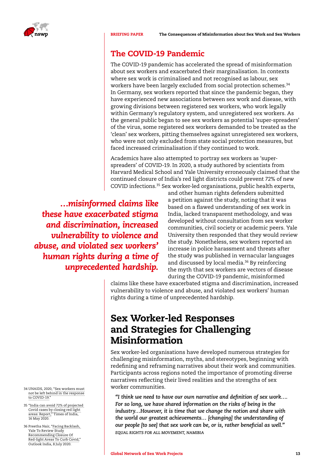

#### The COVID-19 Pandemic

The COVID-19 pandemic has accelerated the spread of misinformation about sex workers and exacerbated their marginalisation. In contexts where sex work is criminalised and not recognised as labour, sex workers have been largely excluded from social protection schemes.<sup>34</sup> In Germany, sex workers reported that since the pandemic began, they have experienced new associations between sex work and disease, with growing divisions between registered sex workers, who work legally within Germany's regulatory system, and unregistered sex workers. As the general public began to see sex workers as potential 'super-spreaders' of the virus, some registered sex workers demanded to be treated as the 'clean' sex workers, pitting themselves against unregistered sex workers, who were not only excluded from state social protection measures, but faced increased criminalisation if they continued to work.

Academics have also attempted to portray sex workers as 'superspreaders' of COVID-19. In 2020, a study authored by scientists from Harvard Medical School and Yale University erroneously claimed that the continued closure of India's red light districts could prevent 72% of new COVID infections.35 Sex worker-led organisations, public health experts,

*…misinformed claims like these have exacerbated stigma and discrimination, increased vulnerability to violence and abuse, and violated sex workers' human rights during a time of unprecedented hardship.*

and other human rights defenders submitted a petition against the study, noting that it was based on a flawed understanding of sex work in India, lacked transparent methodology, and was developed without consultation from sex worker communities, civil society or academic peers. Yale University then responded that they would review the study. Nonetheless, sex workers reported an increase in police harassment and threats after the study was published in vernacular languages and discussed by local media.<sup>36</sup> By reinforcing the myth that sex workers are vectors of disease during the COVID-19 pandemic, misinformed

claims like these have exacerbated stigma and discrimination, increased vulnerability to violence and abuse, and violated sex workers' human rights during a time of unprecedented hardship.

# Sex Worker-led Responses and Strategies for Challenging Misinformation

Sex worker-led organisations have developed numerous strategies for challenging misinformation, myths, and stereotypes, beginning with redefining and reframing narratives about their work and communities. Participants across regions noted the importance of promoting diverse narratives reflecting their lived realities and the strengths of sex worker communities.

*"I think we need to have our own narrative and definition of sex work…. For so long, we have shared information on the risks of being in the industry…However, it is time that we change the notion and share with the world our greatest achievements… [changing] the understanding of our people [to see] that sex work can be, or is, rather beneficial as well." EQUAL RIGHTS FOR ALL MOVEMENT, NAMIBIA*

- 34 UNAIDS, 2020, ["Sex workers must](https://www.unaids.org/en/resources/presscentre/pressreleaseandstatementarchive/2020/april/20200408_sex-workers-covid-19)  [not be left behind in the response](https://www.unaids.org/en/resources/presscentre/pressreleaseandstatementarchive/2020/april/20200408_sex-workers-covid-19)  to COVID-19.
- 35 "[India can avoid 72% of projected](https://timesofindia.indiatimes.com/india/india-can-avoid-72-of-projected-covid-cases-by-closing-red-light-areas-report/articleshow/75772687.cms)  [Covid cases by closing red light](https://timesofindia.indiatimes.com/india/india-can-avoid-72-of-projected-covid-cases-by-closing-red-light-areas-report/articleshow/75772687.cms)  [areas: Report,"](https://timesofindia.indiatimes.com/india/india-can-avoid-72-of-projected-covid-cases-by-closing-red-light-areas-report/articleshow/75772687.cms) Times of India, 16 May 2020.
- 36 Preetha Nair, ["Facing Backlash,](https://www.outlookindia.com/website/story/india-news-facing-backlash-yale-university-to-review-study-on-closure-of-red-light-areas-to-curb-coronavirus/356275)  [Yale To Review Study](https://www.outlookindia.com/website/story/india-news-facing-backlash-yale-university-to-review-study-on-closure-of-red-light-areas-to-curb-coronavirus/356275)  [Recommending Closure Of](https://www.outlookindia.com/website/story/india-news-facing-backlash-yale-university-to-review-study-on-closure-of-red-light-areas-to-curb-coronavirus/356275)  [Red-light Areas To Curb Covid,](https://www.outlookindia.com/website/story/india-news-facing-backlash-yale-university-to-review-study-on-closure-of-red-light-areas-to-curb-coronavirus/356275)" Outlook India, 8 July 2020.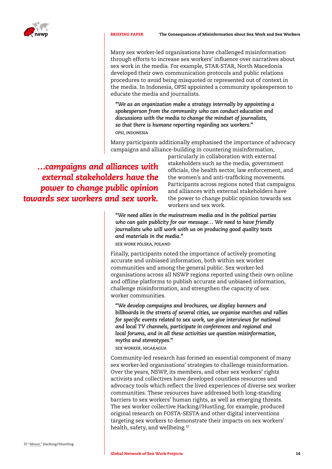

Many sex worker-led organisations have challenged misinformation through efforts to increase sex workers' influence over narratives about sex work in the media. For example, STAR-STAR, North Macedonia developed their own communication protocols and public relations procedures to avoid being misquoted or represented out of context in the media. In Indonesia, OPSI appointed a community spokesperson to educate the media and journalists.

*"We as an organization make a strategy internally by appointing a spokesperson from the community who can conduct education and discussions with the media to change the mindset of journalists, so that there is humane reporting regarding sex workers." OPSI, INDONESIA*

Many participants additionally emphasised the importance of advocacy campaigns and alliance-building in countering misinformation,

*…campaigns and alliances with external stakeholders have the power to change public opinion towards sex workers and sex work.*

particularly in collaboration with external stakeholders such as the media, government officials, the health sector, law enforcement, and the women's and anti-trafficking movements. Participants across regions noted that campaigns and alliances with external stakeholders have the power to change public opinion towards sex workers and sex work.

*"We need allies in the mainstream media and in the political parties who can gain publicity for our message… We need to have friendly journalists who will work with us on producing good quality texts and materials in the media."* 

*SEX WORK POLSKA, POLAND*

Finally, participants noted the importance of actively promoting accurate and unbiased information, both within sex worker communities and among the general public. Sex worker-led organisations across all NSWP regions reported using their own online and offline platforms to publish accurate and unbiased information, challenge misinformation, and strengthen the capacity of sex worker communities.

*"We develop campaigns and brochures, we display banners and billboards in the streets of several cities, we organise marches and rallies for specific events related to sex work, we give interviews for national and local TV channels, participate in conferences and regional and local forums, and in all these activities we question misinformation, myths and stereotypes."* 

*SEX WORKER, NICARAGUA*

Community-led research has formed an essential component of many sex worker-led organisations' strategies to challenge misinformation. Over the years, NSWP, its members, and other sex workers' rights activists and collectives have developed countless resources and advocacy tools which reflect the lived experiences of diverse sex worker communities. These resources have addressed both long-standing barriers to sex workers' human rights, as well as emerging threats. The sex worker collective Hacking//Hustling, for example, produced original research on FOSTA-SESTA and other digital interventions targeting sex workers to demonstrate their impacts on sex workers' health, safety, and wellbeing.37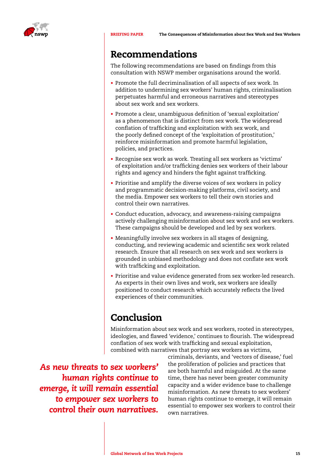

# Recommendations

The following recommendations are based on findings from this consultation with NSWP member organisations around the world.

- Promote the full decriminalisation of all aspects of sex work. In addition to undermining sex workers' human rights, criminalisation perpetuates harmful and erroneous narratives and stereotypes about sex work and sex workers.
- Promote a clear, unambiguous definition of 'sexual exploitation' as a phenomenon that is distinct from sex work. The widespread conflation of trafficking and exploitation with sex work, and the poorly defined concept of the 'exploitation of prostitution,' reinforce misinformation and promote harmful legislation, policies, and practices.
- Recognise sex work as work. Treating all sex workers as 'victims' of exploitation and/or trafficking denies sex workers of their labour rights and agency and hinders the fight against trafficking.
- Prioritise and amplify the diverse voices of sex workers in policy and programmatic decision-making platforms, civil society, and the media. Empower sex workers to tell their own stories and control their own narratives.
- Conduct education, advocacy, and awareness-raising campaigns actively challenging misinformation about sex work and sex workers. These campaigns should be developed and led by sex workers.
- Meaningfully involve sex workers in all stages of designing, conducting, and reviewing academic and scientific sex work related research. Ensure that all research on sex work and sex workers is grounded in unbiased methodology and does not conflate sex work with trafficking and exploitation.
- Prioritise and value evidence generated from sex worker-led research. As experts in their own lives and work, sex workers are ideally positioned to conduct research which accurately reflects the lived experiences of their communities.

# **Conclusion**

Misinformation about sex work and sex workers, rooted in stereotypes, ideologies, and flawed 'evidence,' continues to flourish. The widespread conflation of sex work with trafficking and sexual exploitation, combined with narratives that portray sex workers as victims,

*As new threats to sex workers' human rights continue to emerge, it will remain essential to empower sex workers to control their own narratives.*

criminals, deviants, and 'vectors of disease,' fuel the proliferation of policies and practices that are both harmful and misguided. At the same time, there has never been greater community capacity and a wider evidence base to challenge misinformation. As new threats to sex workers' human rights continue to emerge, it will remain essential to empower sex workers to control their own narratives.